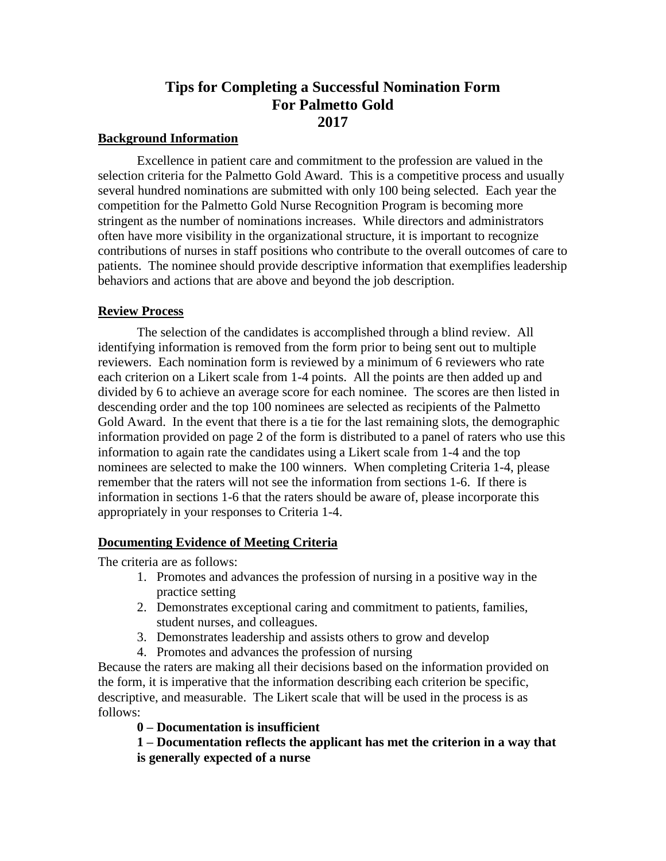# **Tips for Completing a Successful Nomination Form For Palmetto Gold 2017**

#### **Background Information**

Excellence in patient care and commitment to the profession are valued in the selection criteria for the Palmetto Gold Award. This is a competitive process and usually several hundred nominations are submitted with only 100 being selected. Each year the competition for the Palmetto Gold Nurse Recognition Program is becoming more stringent as the number of nominations increases. While directors and administrators often have more visibility in the organizational structure, it is important to recognize contributions of nurses in staff positions who contribute to the overall outcomes of care to patients. The nominee should provide descriptive information that exemplifies leadership behaviors and actions that are above and beyond the job description.

#### **Review Process**

The selection of the candidates is accomplished through a blind review. All identifying information is removed from the form prior to being sent out to multiple reviewers. Each nomination form is reviewed by a minimum of 6 reviewers who rate each criterion on a Likert scale from 1-4 points. All the points are then added up and divided by 6 to achieve an average score for each nominee. The scores are then listed in descending order and the top 100 nominees are selected as recipients of the Palmetto Gold Award. In the event that there is a tie for the last remaining slots, the demographic information provided on page 2 of the form is distributed to a panel of raters who use this information to again rate the candidates using a Likert scale from 1-4 and the top nominees are selected to make the 100 winners. When completing Criteria 1-4, please remember that the raters will not see the information from sections 1-6. If there is information in sections 1-6 that the raters should be aware of, please incorporate this appropriately in your responses to Criteria 1-4.

### **Documenting Evidence of Meeting Criteria**

The criteria are as follows:

- 1. Promotes and advances the profession of nursing in a positive way in the practice setting
- 2. Demonstrates exceptional caring and commitment to patients, families, student nurses, and colleagues.
- 3. Demonstrates leadership and assists others to grow and develop
- 4. Promotes and advances the profession of nursing

Because the raters are making all their decisions based on the information provided on the form, it is imperative that the information describing each criterion be specific, descriptive, and measurable. The Likert scale that will be used in the process is as follows:

### **0 – Documentation is insufficient**

**1 – Documentation reflects the applicant has met the criterion in a way that is generally expected of a nurse**